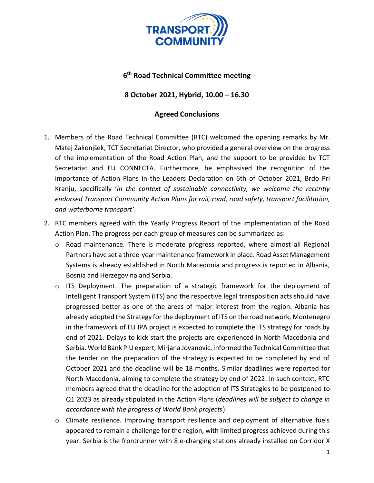

## **6 th Road Technical Committee meeting**

## **8 October 2021, Hybrid, 10.00 – 16.30**

## **Agreed Conclusions**

- 1. Members of the Road Technical Committee (RTC) welcomed the opening remarks by Mr. Matej Zakonjšek, TCT Secretariat Director, who provided a general overview on the progress of the implementation of the Road Action Plan, and the support to be provided by TCT Secretariat and EU CONNECTA. Furthermore, he emphasised the recognition of the importance of Action Plans in the Leaders Declaration on 6th of October 2021, Brdo Pri Kranju, specifically '*In the context of sustainable connectivity, we welcome the recently endorsed Transport Community Action Plans for rail, road, road safety, transport facilitation, and waterborne transport'*.
- 2. RTC members agreed with the Yearly Progress Report of the implementation of the Road Action Plan. The progress per each group of measures can be summarized as:
	- $\circ$  Road maintenance. There is moderate progress reported, where almost all Regional Partners have set a three-year maintenance framework in place. Road Asset Management Systems is already established in North Macedonia and progress is reported in Albania, Bosnia and Herzegovina and Serbia.
	- $\circ$  ITS Deployment. The preparation of a strategic framework for the deployment of Intelligent Transport System (ITS) and the respective legal transposition acts should have progressed better as one of the areas of major interest from the region. Albania has already adopted the Strategy for the deployment of ITS on the road network, Montenegro in the framework of EU IPA project is expected to complete the ITS strategy for roads by end of 2021. Delays to kick start the projects are experienced in North Macedonia and Serbia. World Bank PIU expert, Mirjana Jovanovic, informed the Technical Committee that the tender on the preparation of the strategy is expected to be completed by end of October 2021 and the deadline will be 18 months. Similar deadlines were reported for North Macedonia, aiming to complete the strategy by end of 2022. In such context, RTC members agreed that the deadline for the adoption of ITS Strategies to be postponed to Q1 2023 as already stipulated in the Action Plans (*deadlines will be subject to change in accordance with the progress of World Bank projects*).
	- $\circ$  Climate resilience. Improving transport resilience and deployment of alternative fuels appeared to remain a challenge for the region, with limited progress achieved during this year. Serbia is the frontrunner with 8 e-charging stations already installed on Corridor X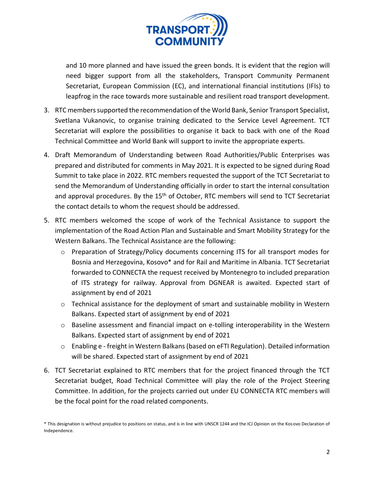

and 10 more planned and have issued the green bonds. It is evident that the region will need bigger support from all the stakeholders, Transport Community Permanent Secretariat, European Commission (EC), and international financial institutions (IFIs) to leapfrog in the race towards more sustainable and resilient road transport development.

- 3. RTC members supported the recommendation of the World Bank, Senior Transport Specialist, Svetlana Vukanovic, to organise training dedicated to the Service Level Agreement. TCT Secretariat will explore the possibilities to organise it back to back with one of the Road Technical Committee and World Bank will support to invite the appropriate experts.
- 4. Draft Memorandum of Understanding between Road Authorities/Public Enterprises was prepared and distributed for comments in May 2021. It is expected to be signed during Road Summit to take place in 2022. RTC members requested the support of the TCT Secretariat to send the Memorandum of Understanding officially in order to start the internal consultation and approval procedures. By the 15<sup>th</sup> of October, RTC members will send to TCT Secretariat the contact details to whom the request should be addressed.
- 5. RTC members welcomed the scope of work of the Technical Assistance to support the implementation of the Road Action Plan and Sustainable and Smart Mobility Strategy for the Western Balkans. The Technical Assistance are the following:
	- o Preparation of Strategy/Policy documents concerning ITS for all transport modes for Bosnia and Herzegovina, Kosovo\* and for Rail and Maritime in Albania. TCT Secretariat forwarded to CONNECTA the request received by Montenegro to included preparation of ITS strategy for railway. Approval from DGNEAR is awaited. Expected start of assignment by end of 2021
	- o Technical assistance for the deployment of smart and sustainable mobility in Western Balkans. Expected start of assignment by end of 2021
	- o Baseline assessment and financial impact on e-tolling interoperability in the Western Balkans. Expected start of assignment by end of 2021
	- o Enabling e freight in Western Balkans (based on eFTI Regulation). Detailed information will be shared. Expected start of assignment by end of 2021
- 6. TCT Secretariat explained to RTC members that for the project financed through the TCT Secretariat budget, Road Technical Committee will play the role of the Project Steering Committee. In addition, for the projects carried out under EU CONNECTA RTC members will be the focal point for the road related components.

<sup>\*</sup> This designation is without prejudice to positions on status, and is in line with UNSCR 1244 and the ICJ Opinion on the Kosovo Declaration of Independence.